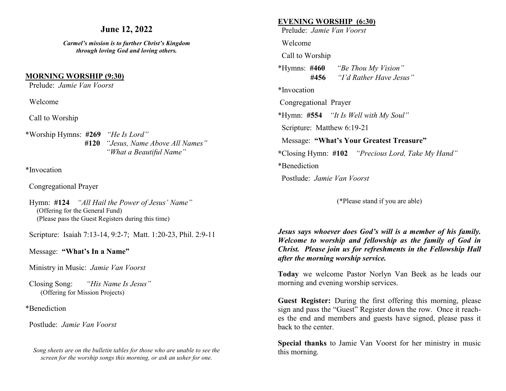## **June 12, 2022**

*Carmel's mission is to further Christ's Kingdom through loving God and loving others.*

### **MORNING WORSHIP (9:30)**

Prelude: *Jamie Van Voorst* 

Welcome

Call to Worship

\*Worship Hymns: **#269** *"He Is Lord"* **#120** *"Jesus, Name Above All Names" "What a Beautiful Name"*

\*Invocation

Congregational Prayer

 Hymn: **#124** *"All Hail the Power of Jesus' Name"* (Offering for the General Fund) (Please pass the Guest Registers during this time)

Scripture: Isaiah 7:13-14, 9:2-7; Matt. 1:20-23, Phil. 2:9-11

Message: **"What's In a Name"**

Ministry in Music: *Jamie Van Voorst*

 Closing Song: *"His Name Is Jesus"* (Offering for Mission Projects)

\*Benediction

Postlude: *Jamie Van Voorst* 

*Song sheets are on the bulletin tables for those who are unable to see the screen for the worship songs this morning, or ask an usher for one.*

### **EVENING WORSHIP (6:30)**

Prelude: *Jamie Van Voorst* 

Welcome

Call to Worship

\*Hymns: **#460** *"Be Thou My Vision"* **#456** *"I'd Rather Have Jesus"*

\*Invocation

Congregational Prayer

\*Hymn: **#554** *"It Is Well with My Soul"*

Scripture: Matthew 6:19-21

Message: **"What's Your Greatest Treasure"**

**\***Closing Hymn: **#102** *"Precious Lord, Take My Hand"* 

\*Benediction

Postlude: *Jamie Van Voorst* 

(\*Please stand if you are able)

*Jesus says whoever does God's will is a member of his family. Welcome to worship and fellowship as the family of God in Christ. Please join us for refreshments in the Fellowship Hall after the morning worship service.*

**Today** we welcome Pastor Norlyn Van Beek as he leads our morning and evening worship services.

**Guest Register:** During the first offering this morning, please sign and pass the "Guest" Register down the row. Once it reaches the end and members and guests have signed, please pass it back to the center.

**Special thanks** to Jamie Van Voorst for her ministry in music this morning.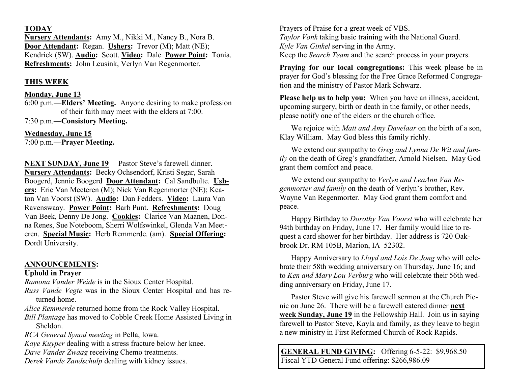### **TODAY**

**Nursery Attendants:** Amy M., Nikki M., Nancy B., Nora B. **Door Attendant:** Regan. **Ushers:** Trevor (M); Matt (NE); Kendrick (SW). **Audio:** Scott. **Video:** Dale **Power Point:** Tonia. **Refreshments:** John Leusink, Verlyn Van Regenmorter.

# **THIS WEEK**

## **Monday, June 13**

6:00 p.m.—**Elders' Meeting.** Anyone desiring to make profession of their faith may meet with the elders at 7:00.

7:30 p.m.—**Consistory Meeting.**

**Wednesday, June 15** 

7:00 p.m.—**Prayer Meeting.**

**NEXT SUNDAY, June 19** Pastor Steve's farewell dinner. **Nursery Attendants:** Becky Ochsendorf, Kristi Segar, Sarah Boogerd, Jennie Boogerd **Door Attendant:** Cal Sandbulte. **Ushers:** Eric Van Meeteren (M); Nick Van Regenmorter (NE); Keaton Van Voorst (SW). **Audio:** Dan Fedders. **Video:** Laura Van Ravenswaay. **Power Point:** Barb Punt. **Refreshments:** Doug Van Beek, Denny De Jong. **Cookies:** Clarice Van Maanen, Donna Renes, Sue Noteboom, Sherri Wolfswinkel, Glenda Van Meeteren. **Special Music:** Herb Remmerde. (am). **Special Offering:**  Dordt University.

# **ANNOUNCEMENTS:**

## **Uphold in Prayer**

*Ramona Vander Weide* is in the Sioux Center Hospital.

*Russ Vande Vegte* was in the Sioux Center Hospital and has returned home.

*Alice Remmerde* returned home from the Rock Valley Hospital.

*Bill Plantage* has moved to Cobble Creek Home Assisted Living in Sheldon.

*RCA General Synod meeting* in Pella, Iowa.

*Kaye Kuyper* dealing with a stress fracture below her knee.

*Dave Vander Zwaag* receiving Chemo treatments.

*Derek Vande Zandschulp* dealing with kidney issues.

Prayers of Praise for a great week of VBS. *Taylor Vonk* taking basic training with the National Guard. *Kyle Van Ginkel* serving in the Army. Keep the *Search Team* and the search process in your prayers.

**Praying for our local congregations:** This week please be in prayer for God's blessing for the Free Grace Reformed Congregation and the ministry of Pastor Mark Schwarz.

**Please help us to help you:** When you have an illness, accident, upcoming surgery, birth or death in the family, or other needs, please notify one of the elders or the church office.

We rejoice with *Matt and Amy Davelaar* on the birth of a son, Klay William. May God bless this family richly.

We extend our sympathy to *Greg and Lynna De Wit and family* on the death of Greg's grandfather, Arnold Nielsen. May God grant them comfort and peace.

We extend our sympathy to *Verlyn and LeaAnn Van Regenmorter and family* on the death of Verlyn's brother, Rev. Wayne Van Regenmorter. May God grant them comfort and peace.

Happy Birthday to *Dorothy Van Voorst* who will celebrate her 94th birthday on Friday, June 17. Her family would like to request a card shower for her birthday. Her address is 720 Oakbrook Dr. RM 105B, Marion, IA 52302.

Happy Anniversary to *Lloyd and Lois De Jong* who will celebrate their 58th wedding anniversary on Thursday, June 16; and to *Ken and Mary Lou Verburg* who will celebrate their 56th wedding anniversary on Friday, June 17.

Pastor Steve will give his farewell sermon at the Church Picnic on June 26. There will be a farewell catered dinner **next week Sunday, June 19** in the Fellowship Hall. Join us in saying farewell to Pastor Steve, Kayla and family, as they leave to begin a new ministry in First Reformed Church of Rock Rapids.

**GENERAL FUND GIVING:** Offering 6-5-22: \$9,968.50 Fiscal YTD General Fund offering: \$266,986.09